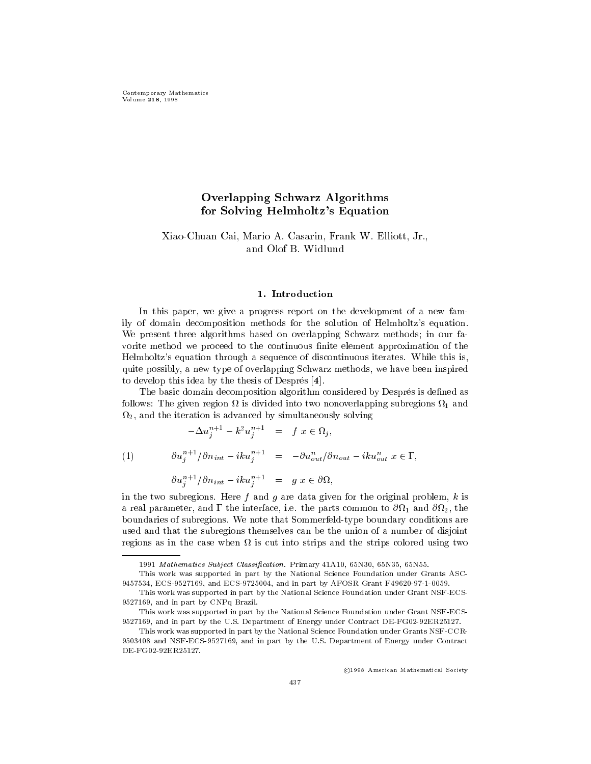## Overlapping Schwarz Algorithms for Solving Helmholtz's Equation

# XiaoChuan Cai Mario A- Casarin Frank W- Elliott Jr-

In this paper, we give a progress report on the development of a new family of domain decomposition methods for the solution of Helmholtz-s equation We present three algorithms based on overlapping Schwarz methods; in our favorite method we proceed to the continuous finite element approximation of the s extensive through a sequence of discontinuous iteration is associated while the second continuous in this is quite possibly a new type of overlapping Schwarz methods we have been inspired to develop this idea by the thesis of Despres -

The basic domain decomposition algorithm considered by Després is defined as follows and the given region of the given region of two non-two non-two non-two non-two non-two non-two non-two non-and the iteration is advanced by simultaneously solving

$$
-\Delta u_j^{n+1} - k^2 u_j^{n+1} = f \ x \in \Omega_j,
$$

 $\partial u_i^{n+1}/\partial n_{int} -ik u_i^{n+1} = -\partial u_{out}^n/\partial n_{out} -ik u_{out}^n \ x\in \Gamma,$  $(1)$ 

$$
\partial u_j^{n+1}/\partial n_{int} - iku_j^{n+1} = g x \in \partial \Omega,
$$

in the two subregions. Here f and g are data given for the original problem,  $k$  is a real parameter and common to the interface is the parts common to what we will come with start and the parts boundaries of subregions. We note that Sommerfeld-type boundary conditions are used and that the subregions themselves can be the union of a number of disjoint regions as in the case when is cut into strips and the strips colored using two

c , and a contract communications of the contract of the contract of the contract of the contract of the contract of

Mathematics Subject Classication Primary -A N N N

This work was supported in part by the National Science Foundation under Grants ASC -by Afon and in part by Afon and in part by Afon and in part by Afon and in part by Afon and in part by Afon a

This work was supported in part by the National Science Foundation under Grant NSF-ECSand in part by CNP, and the part by CNP, and the part by CNP, and the part by CNP, and the part by CNP, and th

This work was supported in part by the National Science Foundation under Grant NSF-ECSand in part of the US Department of Energy under Contract DE & Contract DE

This work was supported in part by the National Science Foundation under Grants NSF-CCR-- and NSF ECS and in part by the US Department of Energy under Contract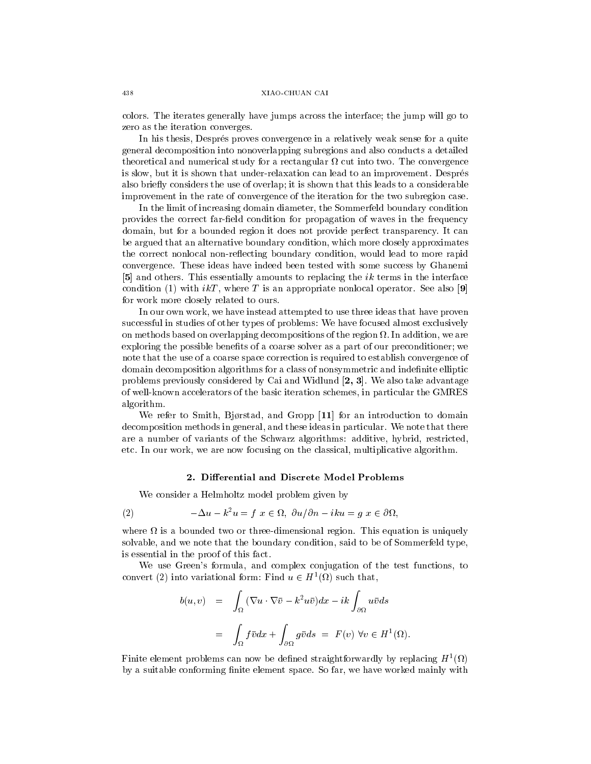#### XIAO-CHUAN CAI

colors. The iterates generally have jumps across the interface; the jump will go to zero as the iteration converges

In his thesis, Després proves convergence in a relatively weak sense for a quite general decomposition into nonoverlapping subregions and also conducts a detailed theoretical and numerical study for a rectangular cut into two The convergence is slow, but it is shown that under-relaxation can lead to an improvement. Després also briefly considers the use of overlap; it is shown that this leads to a considerable improvement in the rate of convergence of the iteration for the two subregion case

In the limit of increasing domain diameter, the Sommerfeld boundary condition provides the correct fareld condition for propagation of waves in the frequency domain, but for a bounded region it does not provide perfect transparency. It can be argued that an alternative boundary condition, which more closely approximates the correct nonlocal non-reflecting boundary condition, would lead to more rapid convergence These ideas have indeed been tested with some success by Ghanemi [5] and others. This essentially amounts to replacing the  $ik$  terms in the interface condition (1) with  $i kT$ , where T is an appropriate nonlocal operator. See also [9] for work more closely related to ours

In our own work, we have instead attempted to use three ideas that have proven successful in studies of other types of problems: We have focused almost exclusively . On methods based on our consequence of the region of the region of the region we are decomposition we are a exploring the possible benefits of a coarse solver as a part of our preconditioner; we note that the use of a coarse space correction is required to establish convergence of domain decomposition algorithms for a class of nonsymmetric and indenite elliptic problems previously considered by Cai and Widlund  $[2, 3]$ . We also take advantage of well-known accelerators of the basic iteration schemes, in particular the GMRES algorithm

We refer to Smith, Bjørstad, and Gropp  $[11]$  for an introduction to domain decomposition methods in general, and these ideas in particular. We note that there are a number of variants of the Schwarz algorithms: additive, hybrid, restricted, etc. In our work, we are now focusing on the classical, multiplicative algorithm.

## 2. Differential and Discrete Model Problems

We consider a Helmholtz model problem given by

(2) 
$$
-\Delta u - k^2 u = f \ x \in \Omega, \ \partial u / \partial n - iku = g \ x \in \partial \Omega,
$$

where is an is a bounded two or three allowship regions. Since the substitution is uniquely to the second in the second in the second in the second in the second in the second in the second in the second in the second in t solvable, and we note that the boundary condition, said to be of Sommerfeld type, is essential in the proof of this fact

we use Green-Complex complex complex complex complex contracts to the test functions to the test functions to convert (2) into variational form: Find  $u \in H^1(\Omega)$  such that,

$$
b(u, v) = \int_{\Omega} (\nabla u \cdot \nabla \bar{v} - k^2 u \bar{v}) dx - ik \int_{\partial \Omega} u \bar{v} ds
$$
  

$$
= \int_{\Omega} f \bar{v} dx + \int_{\partial \Omega} g \bar{v} ds = F(v) \ \forall v \in H^1(\Omega).
$$

Finite element problems can now be defined straightforwardly by replacing  $H^*(M)$ by a suitable conforming finite element space. So far, we have worked mainly with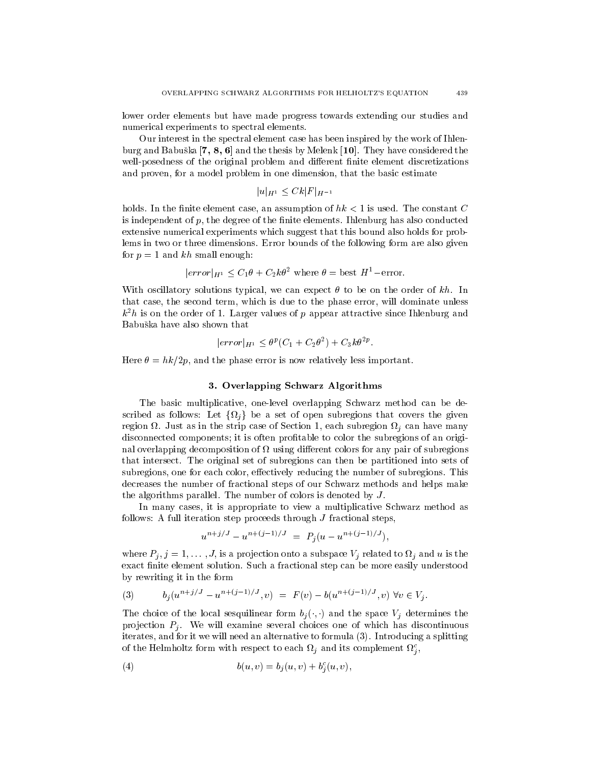lower order elements but have made progress towards extending our studies and numerical experiments to spectral elements

Our interest in the spectral element case has been inspired by the work of Ihlen  $\alpha$  and  $\alpha$  and  $\alpha$  and the theorem is the theorem the theorem (  $\alpha$  ) and  $\alpha$  and  $\alpha$  and  $\alpha$  and  $\alpha$ well-posedness of the original problem and different finite element discretizations and proven, for a model problem in one dimension, that the basic estimate

$$
|u|_{H^1} \leq Ck|F|_{H^{-1}}
$$

holds. In the finite element case, an assumption of  $hk < 1$  is used. The constant C is independent of  $p$ , the degree of the finite elements. Ihlenburg has also conducted extensive numerical experiments which suggest that this bound also holds for prob lems in two or three dimensions Error bounds of the following form are also given for  $p=1$  and kh small enough:

$$
|error|_{H^1} \leq C_1 \theta + C_2 k \theta^2
$$
 where  $\theta =$  best  $H^1$ –error.

With oscillatory solutions typical, we can expect  $\theta$  to be on the order of kh. In that case, the second term, which is due to the phase error, will dominate unless  $\kappa$ - $n$  is on the order of 1. Larger values of  $p$  appear attractive since Inlenburg and Babuska have also shown that

$$
|error|_{H^1} \le \theta^p (C_1 + C_2 \theta^2) + C_3 k \theta^{2p}.
$$

Here  hk-p and the phase error is now relatively less important

### 3. Overlapping Schwarz Algorithms

The basic multiplicative, one-level overlapping Schwarz method can be described as follows: Let  $\{\Omega_j\}$  be a set of open subregions that covers the given region Just as in the strip case of Section each subregion <sup>j</sup> can have many disconnected components; it is often profitable to color the subregions of an original overlapping decomposition of the colors for any pair of subregions for any pair of subregions for any pair that intersect The original set of subregions can then be partitioned into sets of subregions, one for each color, effectively reducing the number of subregions. This decreases the number of fractional steps of our Schwarz methods and helps make the algorithms parallel. The number of colors is denoted by  $J$ .

In many cases it is appropriate to view <sup>a</sup> multiplicative Schwarz method as follows: A full iteration step proceeds through  $J$  fractional steps,

$$
u^{n+j/J} - u^{n+(j-1)/J} = P_i(u - u^{n+(j-1)/J}),
$$

where  $I_{ij}$ ,  $j = 1, \ldots, J$ , is a projection onto a subspace  $V_j$  related to  $M_j$  and u is the exact finite element solution. Such a fractional step can be more easily understood by rewriting it in the form

(3) 
$$
b_j(u^{n+j/J} - u^{n+(j-1)/J}, v) = F(v) - b(u^{n+(j-1)/J}, v) \,\forall v \in V_j.
$$

The choice of the local sesquilinear form  $v_j(\cdot, \cdot)$  and the space  $v_j$  determines the projection  $P_j$ . We will examine several choices one of which has discontinuous iterates, and for it we will need an alternative to formula  $(3)$ . Introducing a splitting of the Helmholtz form with respect to each  $\iota_{i}$  and its complement  $\iota_{i}$ , <sup>j</sup>

(4) 
$$
b(u, v) = b_j(u, v) + b_j^{c}(u, v),
$$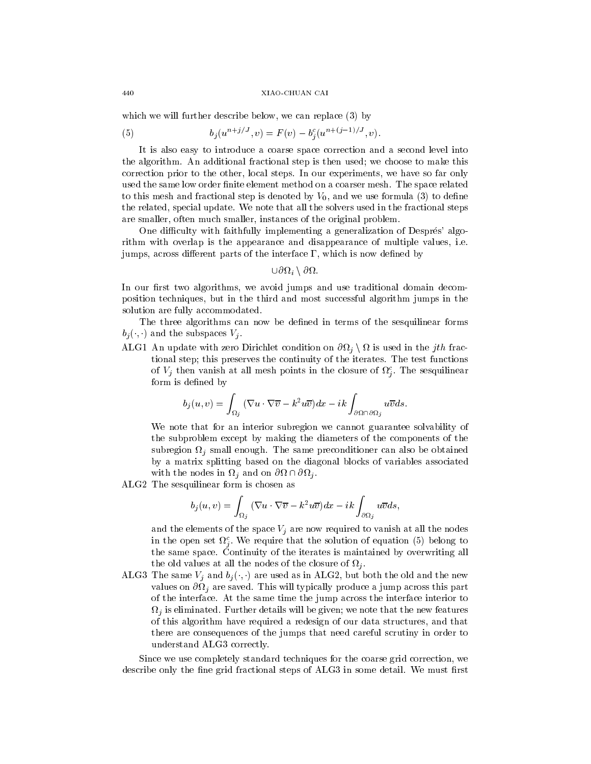#### XIAO-CHUAN CAI

which we will further describe below, we can replace  $(3)$  by

(5) 
$$
b_j(u^{n+j/J}, v) = F(v) - b_j^c(u^{n+(j-1)/J}, v).
$$

It is also easy to introduce a coarse space correction and a second level into the algorithm. An additional fractional step is then used; we choose to make this correction prior to the other, local steps. In our experiments, we have so far only used the same low order finite element method on a coarser mesh. The space related to this mesh and fractional step is denoted by  $V_0$ , and we use formula (3) to define the related, special update. We note that all the solvers used in the fractional steps are smaller, often much smaller, instances of the original problem.

One diculty with faithfully implementing a generalization of Despres- algo rithm with overlap is the appearance and disappearance of multiple values, i.e. jumps, across different parts of the interface  $\Gamma$ , which is now defined by

$$
\cup\partial\Omega_i\setminus\partial\Omega.
$$

In our first two algorithms, we avoid jumps and use traditional domain decomposition techniques, but in the third and most successful algorithm jumps in the solution are fully accommodated

The three algorithms can now be defined in terms of the sesquilinear forms  $v_i(\cdot, \cdot)$  and the subspaces  $v_i$ .

ALG1 An update with zero Dirichlet condition on  $\partial\Omega_j\setminus\Omega$  is used in the jth fractional step; this preserves the continuity of the iterates. The test functions of  $V_j$  then vanish at all mesh points in the closure of  $\Omega_{j}^*$ . The sesquilinear <sup>j</sup> form is defined by

$$
b_j(u,v)=\int_{\Omega_j}\big(\nabla u\cdot\nabla\overline v-k^2u\overline v\big)dx-ik\int_{\partial\Omega\cap\partial\Omega_j}u\overline vds.
$$

We note that for an interior subregion we cannot guarantee solvability of the subproblem except by making the diameters of the components of the j small enough The same precondition  $j$  small enough The same preconditioner can also be obtained by  $j$ by a matrix splitting based on the diagonal blocks of variables associated with the nodes in  $\Omega_i$  and on  $\partial\Omega \cap \partial\Omega_i$ .

ALG2 The sesquilinear form is chosen as

$$
b_j(u,v) = \int_{\Omega_j} (\nabla u \cdot \nabla \overline{v} - k^2 u \overline{v}) dx - ik \int_{\partial \Omega_j} u \overline{v} ds,
$$

and the elements of the space  $V_j$  are now required to vanish at all the nodes in the open set  $\nu_{\lambda}$ , we require that the solution of equation (b) belong to <u>je za obrazu u predstavanju u predstavanju u predstavanju u predstavanju u predstavanju u predstavanju u preds</u> the same space Continuity of the iterates is maintained by overwriting all the old values at all the nodes of the closure of <sup>j</sup>

ALG The same  $V_i$  and  $v_i(\cdot, \cdot)$  are used as in ALG 2, but both the old and the new values on <sup>j</sup> are saved This will typically produce a jump across this part of the interface At the same time the jump across the interface interior to  $\sim$  j is eliminated Furtherm details will be given we note that the new features  $\sim$ of this algorithm have required a redesign of our data structures and that there are consequences of the jumps that need careful scrutiny in order to understand ALG3 correctly.

Since we use completely standard techniques for the coarse grid correction we describe only the fine grid fractional steps of ALG3 in some detail. We must first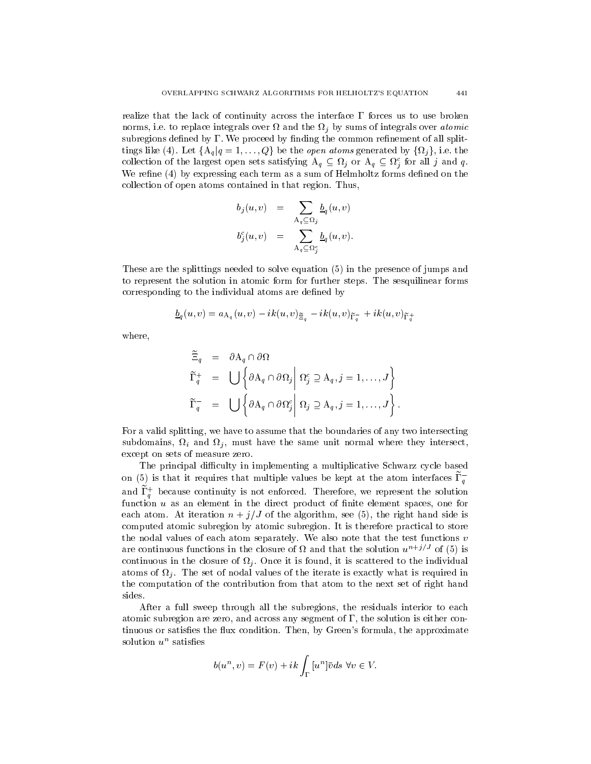realize that the lack of continuity across the interface  $\Gamma$  forces us to use broken is to replace it to replace the sums of integrals over atomic of integration of the sums of integration over a subregions defined by  $\Gamma$ . We proceed by finding the common refinement of all splittings like (4). Let  $\{A_q | q = 1, \ldots, Q\}$  be the *open atoms* generated by  $\{\Omega_j\}$ , i.e. the collection of the largest open sets satisfying  $A_q \nsubseteq \Omega_j$  or  $A_q \nsubseteq \Omega_j^c$  for all j and q. **j** is a set of the set of the set of the set of the set of the set of the set of the set of the set of the set of the set of the set of the set of the set of the set of the set of the set of the set of the set of the set We refine  $(4)$  by expressing each term as a sum of Helmholtz forms defined on the collection of open atoms contained in that region. Thus,

$$
b_j(u, v) = \sum_{A_q \subseteq \Omega_j} \underline{b}_q(u, v)
$$
  

$$
b_j^c(u, v) = \sum_{A_q \subseteq \Omega_j^c} \underline{b}_q(u, v).
$$

These are the splittings needed to solve equation  $(5)$  in the presence of jumps and to represent the solution in atomic form for further steps The sesquilinear forms corresponding to the individual atoms are defined by

$$
\underline{b}_q(u,v)=a_{\mathrm{A}_q}(u,v)-ik(u,v)_{\widetilde{\Xi}_q}-ik(u,v)_{\widetilde{\Gamma}_q^-}+ik(u,v)_{\widetilde{\Gamma}_q^+}
$$

where

$$
\begin{aligned}\n\Xi_q &= \partial \mathbf{A}_q \cap \partial \Omega \\
\widetilde{\Gamma}_q^+ &= \bigcup \left\{ \partial \mathbf{A}_q \cap \partial \Omega_j \middle| \Omega_j^c \supseteq \mathbf{A}_q, j = 1, \dots, J \right\} \\
\widetilde{\Gamma}_q^- &= \bigcup \left\{ \partial \mathbf{A}_q \cap \partial \Omega_j^c \middle| \Omega_j \supseteq \mathbf{A}_q, j = 1, \dots, J \right\}.\n\end{aligned}
$$

For a valid splitting, we have to assume that the boundaries of any two intersecting is and domains  $\alpha$  is an order the same unit the same unit of the same intersection and the same unit of the s except on sets of measure zero

The principal difficulty in implementing a multiplicative Schwarz cycle based on (5) is that it requires that multiple values be kept at the atom interfaces  $\tilde{\Gamma}_q^ \mathbf{q}$  and  $\mathbf{q}$ and  $\mathbf{r}_a$  because continuity is not enforced. Therefore, we represent the solution function  $u$  as an element in the direct product of finite element spaces, one for each atom At iteration n , j, y of the algorithm see , , , , and signal manno side is computed atomic subregion by atomic subregion It is therefore practical to store the nodal values of each atom separately. We also note that the test functions  $v$ are continuous functions in the closure of  $\Omega$  and that the solution  $u^{(1)}$  of (5) is continuous in the closure of  $\cdot \cdot \cdot$  once it is found; it is scattered to the individual atoms of nodes of nodal values of the iterate is exactly what is exactly what is exactly what is required in the computation of the contribution from that atom to the next set of right hand sides

After a full sweep through all the subregions, the residuals interior to each atomic subregion are zero, and across any segment of  $\Gamma$ , the solution is either continus or satisfactor that conditions to condition  $\mathcal{L}_1$  , green- and conditions the proximation solution  $u^-$  satisfies

$$
b(u^n, v) = F(v) + ik \int_{\Gamma} [u^n] \bar{v} ds \,\,\forall v \in V.
$$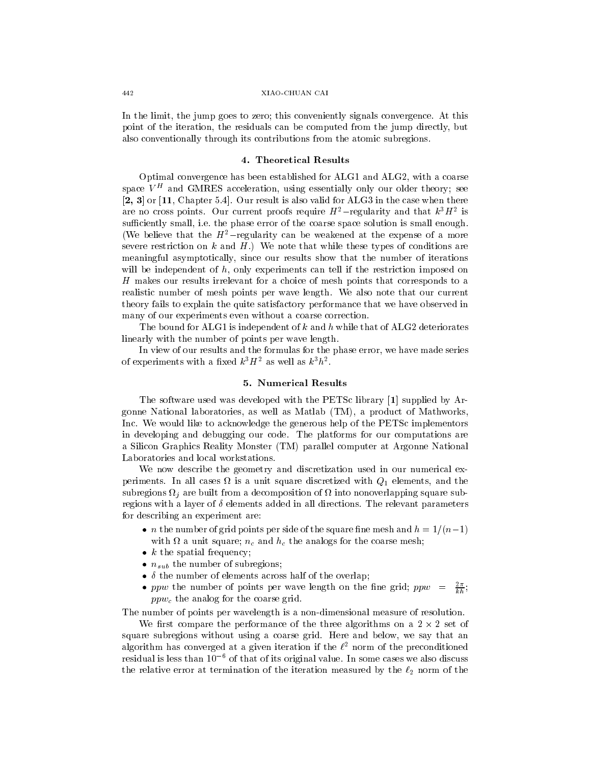#### XIAO-CHUAN CAI

In the limit, the jump goes to zero; this conveniently signals convergence. At this point of the iteration, the residuals can be computed from the jump directly, but also conventionally through its contributions from the atomic subregions

Optimal convergence has been established for  $ALG1$  and  $ALG2$ , with a coarse space  $V =$  and GMRES acceleration, using essentially only our older theory; see  $[2, 3]$  or  $[11,$  Chapter 5.4. Our result is also valid for ALG3 in the case when there are no cross points. Our current proofs require  $H$  —regularity and that kH $H$  is sufficiently small, i.e. the phase error of the coarse space solution is small enough. (We believe that the  $H^2$ -regularity can be weakened at the expense of a more severe restriction on k and  $H$ .) We note that while these types of conditions are meaningful asymptotically since our results show that the number of iterations will be independent of  $h$ , only experiments can tell if the restriction imposed on H makes our results irrelevant for a choice of mesh points that corresponds to a realistic number of mesh points per wave length We also note that our current theory fails to explain the quite satisfactory performance that we have observed in many of our experiments even without a coarse correction

The bound for ALG1 is independent of k and h while that of ALG2 deteriorates linearly with the number of points per wave length

In view of our results and the formulas for the phase error, we have made series of experiments with a fixed  $k^3H^2$  as well as  $k^3h^2$ .

### 5. Numerical Results

The software used was developed with the PETSc library  $[1]$  supplied by Argonne National laboratories, as well as Matlab  $(TM)$ , a product of Mathworks, Inc. We would like to acknowledge the generous help of the PETSc implementors in developing and debugging our code The platforms for our computations are a Silicon Graphics Reality Monster TM parallel computer at Argonne National Laboratories and local workstations

We now describe the geometry and discretization used in our numerical experiments In all cases in a unit states of the cases of the states and the case  $\mathcal{N}_1$  is a unit of the case subregions <sup>j</sup> are built from a decomposition of into nonoverlapping square sub regions with a layer of  $\delta$  elements added in all directions. The relevant parameters for describing an experiment are 

- $\bullet$   $\,n$  the number of grid points per side of the square fine mesh and  $\,n=1$  /(  $n-1$  )  $\,$ with a unit state of and  $\alpha$  is the analogs for the coarse mesh and he coarse  $\alpha$
- $\bullet$   $\kappa$  the spatial frequency;
- $\bullet$   $n_{sub}$  the number of subregions;
- $\bullet$   $\,$   $\,$   $\,$   $\,$  the number of elements across half of the overlap;
- ppw the number of points per wave length on the fine grid;  $ppw = \frac{E}{kh}$ ;  $ppw_c$  the analog for the coarse grid.

The number of points per wavelength is a non-dimensional measure of resolution.

We first compare the performance of the three algorithms on a  $2 \times 2$  set of square subregions without using a coarse grid. Here and below, we say that an algorithm has converged at a given iteration if the  $t^-$  norm of the preconditioned  $\,$ residual is less than  $10^{-6}$  of that of its original value. In some cases we also discuss the relative error at termination of the iteration measured by the  $\ell_2$  norm of the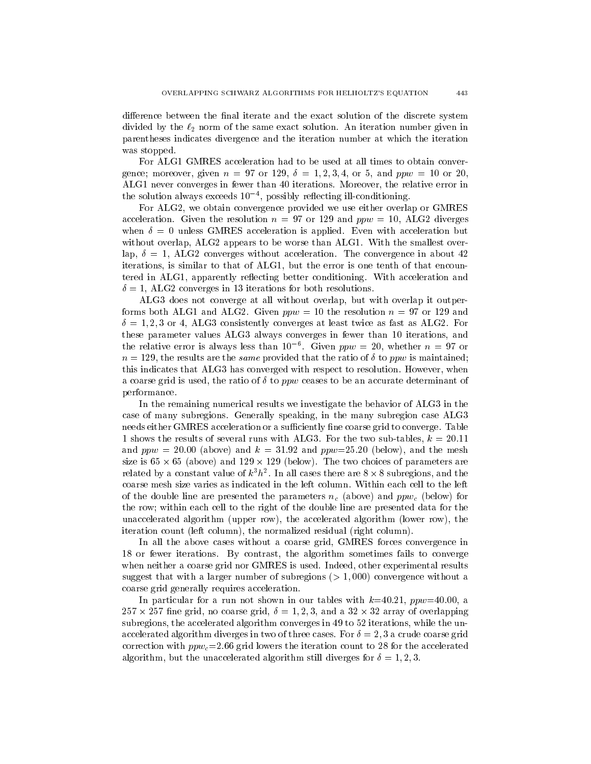difference between the final iterate and the exact solution of the discrete system divided by the  $\ell_2$  norm of the same exact solution. An iteration number given in parentheses indicates divergence and the iteration number at which the iteration was stopped

For ALG1 GMRES acceleration had to be used at all times to obtain convergence; moreover, given  $n = 97$  or 129,  $\delta = 1, 2, 3, 4$ , or 5, and  $ppw = 10$  or 20, ALG1 never converges in fewer than 40 iterations. Moreover, the relative error in the solution always exceeds TO -, possibly reflecting ill-conditioning.

For ALG2, we obtain convergence provided we use either overlap or GMRES acceleration. Given the resolution  $n = 97$  or 129 and  $ppw = 10$ , ALG2 diverges when  $\delta = 0$  unless GMRES acceleration is applied. Even with acceleration but without overlap, ALG2 appears to be worse than ALG1. With the smallest overlap,  $\delta = 1$ , ALG2 converges without acceleration. The convergence in about 42 iterations, is similar to that of ALG1, but the error is one tenth of that encountered in ALG1, apparently reflecting better conditioning. With acceleration and  ALG converges in iterations for both resolutions

ALG3 does not converge at all without overlap, but with overlap it outperforms both ALG1 and ALG2. Given  $ppw = 10$  the resolution  $n = 97$  or 129 and or algebra at least twice as fast twice as fast twice as fast as a fast as  $\sim$ these parameter values ALG3 always converges in fewer than 10 iterations, and the relative error is always less than 10  $\,$ . Given  $ppw = 20$ , whether  $n = 97$  or  $\alpha$  . The results are the same provided that the ratio of  $\alpha$  to ppw is maximum is this indicates that ALG3 has converged with respect to resolution. However, when a coarse grid is used, the ratio of  $\delta$  to ppw ceases to be an accurate determinant of performance

In the remaining numerical results we investigate the behavior of ALG3 in the case of many subregions. Generally speaking, in the many subregion case ALG3 needs either GMRES acceleration or a sufficiently fine coarse grid to converge. Table 1 shows the results of several runs with ALG3. For the two sub-tables,  $k = 20.11$ and  $ppw = 20.00$  (above) and  $k = 31.92$  and  $ppw=25.20$  (below), and the mesh size is  $65 \times 65$  (above) and  $129 \times 129$  (below). The two choices of parameters are related by a constant value of  $\kappa^n h^*$ . In all cases there are  $8 \times 8$  subregions, and the coarse mesh size varies as indicated in the left column Within each cell to the left of the double line are presented the parameters  $n_c$  (above) and ppw<sub>c</sub> (below) for the row; within each cell to the right of the double line are presented data for the unaccelerated algorithm (upper row), the accelerated algorithm (lower row), the iteration count (left column), the normalized residual (right column).

In all the above cases without a coarse grid, GMRES forces convergence in 18 or fewer iterations. By contrast, the algorithm sometimes fails to converge when neither a coarse grid nor GMRES is used. Indeed, other experimental results suggest that with a larger number of subregions  $(>1,000)$  convergence without a coarse grid generally requires acceleration

In particular for a run not shown in our tables with  $k=40.21$ ,  $ppw=40.00$ , a  $257 \times 257$  fine grid, no coarse grid,  $\delta = 1, 2, 3$ , and a  $32 \times 32$  array of overlapping subregions, the accelerated algorithm converges in  $49$  to  $52$  iterations, while the unaccelerated algorithm diverges in two of three cases. For  $\delta = 2, 3$  a crude coarse grid correction with  $ppw_c = 2.66$  grid lowers the iteration count to 28 for the accelerated algorithm, but the unaccelerated algorithm still diverges for  $\delta = 1, 2, 3$ .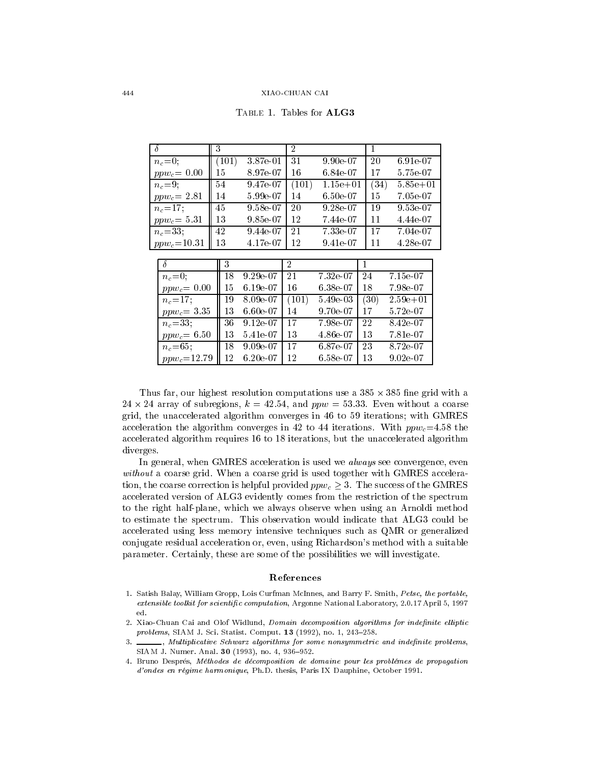|                 | 3     |          | $\overline{2}$ |                    |      |              |
|-----------------|-------|----------|----------------|--------------------|------|--------------|
| $n_c=0;$        | (101) | 3.87e 01 | -31            | $9.90e\ 07$        | 20   | 6.91e-07     |
| $ppw_c = 0.00$  | 15    | 8.97e 07 | 16             | 6.84e.07           | 17   | 5.75e-07     |
| $n_c = 9$ ;     | 54    | 9.47e 07 | (101)          | $1.15e + 01$       | (34) | $5.85e + 01$ |
| $ppw_c = 2.81$  | 14    | 5.99e07  | 14             | $6.50 \text{e} 07$ | 15   | 7.05e-07     |
| $n_c = 17$ ;    | 45    | 9.58e.07 | 20             | $9.28 \text{e} 07$ | -19  | $9.53e-07$   |
| $ppw_c = 5.31$  | 13    | 9.85e07  | 12             | 7.44e07            | 11   | 4.44e-07     |
| $n_c = 33,$     | 42    | 9.44e 07 | 21             | 7.33e-07           | -17  | 7.04e-07     |
| $ppw_c = 10.31$ | 13    | 4.17e 07 | 12             | 9.41e.07           | 11   | 4.28e 07     |

| TABLE 1. Tables for $ALG3$ |  |  |  |  |
|----------------------------|--|--|--|--|
|----------------------------|--|--|--|--|

| $\overline{\delta}$    | 3  |            | 2     |                    |      |                  |
|------------------------|----|------------|-------|--------------------|------|------------------|
| $n_c=0$ ;              | 18 | $9.29e-07$ | 21    | 7.32e07            | 24   | 7.15e07          |
| $ppw_c = 0.00$         | 15 | 6.19e-07   | -16   | $6.38 \text{e} 07$ | 18   | 7.98e07          |
| $n_e = 17$ ;           | 19 | 8.09e-07   | (101) | 5.49e03            | (30) | $2.59e + 01$     |
| $ppw_c = 3.35$         | 13 | 6.60e 07   | 14    | $9.70 \div 07$     | 17   | $5.72 \times 07$ |
| $n_c = 33$             | 36 | $9.12e-07$ | -17   | 7.98e 07           | 22   | 8.42e07          |
| $ppw_c = 6.50$         | 13 | 5.41e-07   | -13   | 4.86e 07           | 13   | 7.81e07          |
| $n_c = 65$ ;           | 18 | $9.09e-07$ | -17   | 6.87e-07           | 23   | 8.72e07          |
| $\mid p p w_c = 12.79$ | 12 | $6.20e-07$ | -12   | 6.58e07            | 13   | 9.02e 07         |

Thus far, our highest resolution computations use a  $385 \times 385$  fine grid with a 24  $\times$  24 array of subregions,  $\kappa = 42.54$ , and  $ppw = 53.33$ . Even without a coarse grid, the unaccelerated algorithm converges in 46 to 59 iterations; with GMRES acceleration the algorithm converges in 42 to 44 iterations. With  $ppw_c=4.58$  the accelerated algorithm requires 16 to 18 iterations, but the unaccelerated algorithm diverges

In general, when GMRES acceleration is used we *always* see convergence, even without a coarse grid. When a coarse grid is used together with GMRES acceleration, the coarse correction is helpful provided  $ppw_c \geq 3$ . The success of the GMRES accelerated version of ALG3 evidently comes from the restriction of the spectrum to the right half-plane, which we always observe when using an Arnoldi method to estimate the spectrum. This observation would indicate that ALG3 could be accelerated using less memory intensive techniques such as QMR or generalized conjugate residual acceleration or even using Richardson-s method with a suitable parameter. Certainly, these are some of the possibilities we will investigate.

#### References

- Satish Balay William Gropp Lois Curfman McInnes and Barry F Smith Petsc- the portableextensible toolkit for scientic computation Argonne National Laboratory April
- 2. Xiao-Chuan Cai and Olof Widlund, Domain decomposition algorithms for indefinite elliptic problems sizes are sizes a continued to the post-of-policy and the statistic computation of the statistic compu
- 3. \_\_\_\_\_, Multiplicative Schwarz algorithms for some nonsymmetric and indefinite problems, SIAM J Numer Anal - no -
- Bruno Despres Methodes de decomposition de domaine pour les problemes de propagation d'ondes en régime harmonique, Ph.D. thesis, Paris IX Dauphine, October 1991.